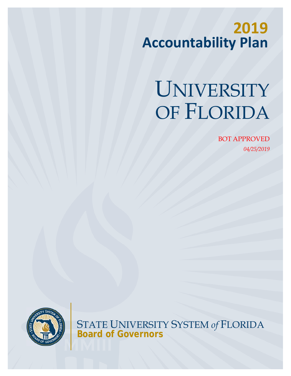# **2019 Accountability Plan**

# UNIVERSITY OF FLORIDA

BOT APPROVED *04/25/2019* 



STATE UNIVERSITY SYSTEM *of* FLORIDA **Board of Governors**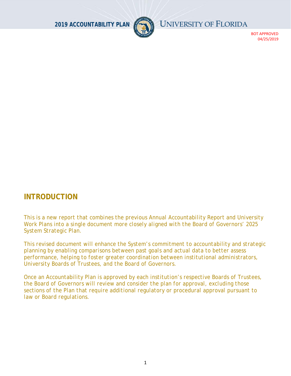

BOT APPROVED 04/25/2019

# **INTRODUCTION**

*This is a new report that combines the previous Annual Accountability Report and University Work Plans into a single document more closely aligned with the Board of Governors' 2025 System Strategic Plan.* 

*This revised document will enhance the System's commitment to accountability and strategic planning by enabling comparisons between past goals and actual data to better assess performance, helping to foster greater coordination between institutional administrators, University Boards of Trustees, and the Board of Governors.* 

*Once an Accountability Plan is approved by each institution's respective Boards of Trustees, the Board of Governors will review and consider the plan for approval, excluding those sections of the Plan that require additional regulatory or procedural approval pursuant to law or Board regulations.*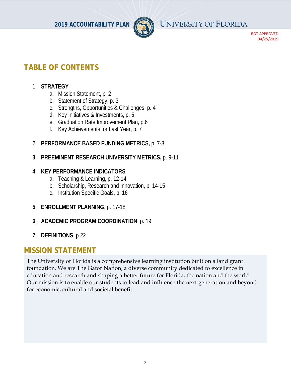

BOT APPROVED 04/25/2019

# **TABLE OF CONTENTS**

# **1. STRATEGY**

- a. Mission Statement, p. 2
- b. Statement of Strategy, p. 3
- c. Strengths, Opportunities & Challenges, p. 4
- d. Key Initiatives & Investments, p. 5
- e. Graduation Rate Improvement Plan, p.6
- f. Key Achievements for Last Year, p. 7
- 2. **PERFORMANCE BASED FUNDING METRICS,** p. 7-8
- **3. PREEMINENT RESEARCH UNIVERSITY METRICS,** p. 9-11

# **4. KEY PERFORMANCE INDICATORS**

- a. Teaching & Learning, p. 12-14
- b. Scholarship, Research and Innovation, p. 14-15
- c. Institution Specific Goals, p. 16
- **5. ENROLLMENT PLANNING**, p. 17-18
- **6. ACADEMIC PROGRAM COORDINATION**, p. 19
- **7. DEFINITIONS**, p.22

# **MISSION STATEMENT**

The University of Florida is a comprehensive learning institution built on a land grant foundation. We are The Gator Nation, a diverse community dedicated to excellence in education and research and shaping a better future for Florida, the nation and the world. Our mission is to enable our students to lead and influence the next generation and beyond for economic, cultural and societal benefit.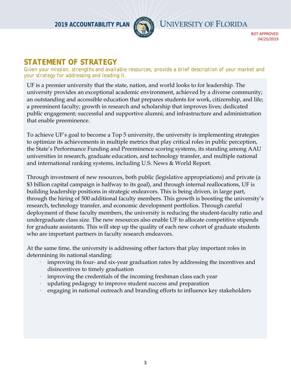

BOT APPROVED 04/25/2019

# **STATEMENT OF STRATEGY**

*Given your mission, strengths and available resources, provide a brief description of your market and your strategy for addressing and leading it.* 

UF is a premier university that the state, nation, and world looks to for leadership. The university provides an exceptional academic environment, achieved by a diverse community; an outstanding and accessible education that prepares students for work, citizenship, and life; a preeminent faculty; growth in research and scholarship that improves lives; dedicated public engagement; successful and supportive alumni; and infrastructure and administration that enable preeminence.

To achieve UF's goal to become a Top 5 university, the university is implementing strategies to optimize its achievements in multiple metrics that play critical roles in public perception, the State's Performance Funding and Preeminence scoring systems, its standing among AAU universities in research, graduate education, and technology transfer, and multiple national and international ranking systems, including U.S. News & World Report.

Through investment of new resources, both public (legislative appropriations) and private (a \$3 billion capital campaign is halfway to its goal), and through internal reallocations, UF is building leadership positions in strategic endeavors. This is being driven, in large part, through the hiring of 500 additional faculty members. This growth is boosting the university's research, technology transfer, and economic development portfolios. Through careful deployment of these faculty members, the university is reducing the student-faculty ratio and undergraduate class size. The new resources also enable UF to allocate competitive stipends for graduate assistants. This will step up the quality of each new cohort of graduate students who are important partners in faculty research endeavors.

At the same time, the university is addressing other factors that play important roles in determining its national standing:

- improving its four- and six-year graduation rates by addressing the incentives and disincentives to timely graduation
- improving the credentials of the incoming freshman class each year
- updating pedagogy to improve student success and preparation
- · engaging in national outreach and branding efforts to influence key stakeholders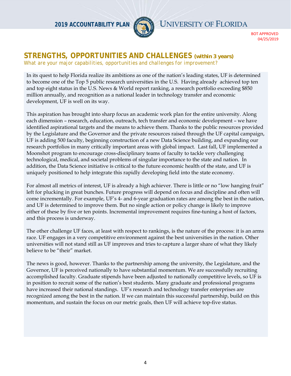

BOT APPROVED 04/25/2019

# **STRENGTHS, OPPORTUNITIES AND CHALLENGES** *(within 3 years)*

*What are your major capabilities, opportunities and challenges for improvement?* 

In its quest to help Florida realize its ambitions as one of the nation's leading states, UF is determined to become one of the Top 5 public research universities in the U.S. Having already achieved top ten and top eight status in the U.S. News & World report ranking, a research portfolio exceeding \$850 million annually, and recognition as a national leader in technology transfer and economic development, UF is well on its way.

This aspiration has brought into sharp focus an academic work plan for the entire university. Along each dimension – research, education, outreach, tech transfer and economic development – we have identified aspirational targets and the means to achieve them. Thanks to the public resources provided by the Legislature and the Governor and the private resources raised through the UF capital campaign, UF is adding 500 faculty, beginning construction of a new Data Science building, and expanding our research portfolios in many critically important areas with global impact. Last fall, UF implemented a Moonshot program to encourage cross-disciplinary teams of faculty to tackle very challenging technological, medical, and societal problems of singular importance to the state and nation. In addition, the Data Science initiative is critical to the future economic health of the state, and UF is uniquely positioned to help integrate this rapidly developing field into the state economy.

For almost all metrics of interest, UF is already a high achiever. There is little or no "low hanging fruit" left for plucking in great bunches. Future progress will depend on focus and discipline and often will come incrementally. For example, UF's 4- and 6-year graduation rates are among the best in the nation, and UF is determined to improve them. But no single action or policy change is likely to improve either of these by five or ten points. Incremental improvement requires fine-tuning a host of factors, and this process is underway.

The other challenge UF faces, at least with respect to rankings, is the nature of the process: it is an arms race. UF engages in a very competitive environment against the best universities in the nation. Other universities will not stand still as UF improves and tries to capture a larger share of what they likely believe to be "their" market.

The news is good, however. Thanks to the partnership among the university, the Legislature, and the Governor, UF is perceived nationally to have substantial momentum. We are successfully recruiting accomplished faculty. Graduate stipends have been adjusted to nationally competitive levels, so UF is in position to recruit some of the nation's best students. Many graduate and professional programs have increased their national standings. UF's research and technology transfer enterprises are recognized among the best in the nation. If we can maintain this successful partnership, build on this momentum, and sustain the focus on our metric goals, then UF will achieve top-five status.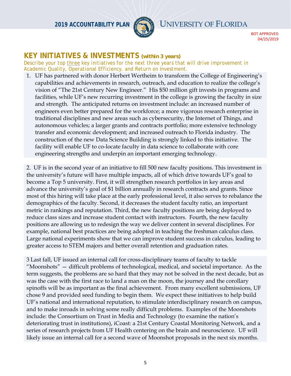

BOT APPROVED 04/25/2019

# **KEY INITIATIVES & INVESTMENTS** *(within 3 years)*

*Describe your top three key initiatives for the next three years that will drive improvement in Academic Quality, Operational Efficiency, and Return on Investment.* 

1. UF has partnered with donor Herbert Wertheim to transform the College of Engineering's capabilities and achievements in research, outreach, and education to realize the college's vision of "The 21st Century New Engineer." His \$50 million gift invests in programs and facilities, while UF's new recurring investment in the college is growing the faculty in size and strength. The anticipated returns on investment include: an increased number of engineers even better prepared for the workforce; a more vigorous research enterprise in traditional disciplines and new areas such as cybersecurity, the Internet of Things, and autonomous vehicles; a larger grants and contracts portfolio; more extensive technology transfer and economic development; and increased outreach to Florida industry. The construction of the new Data Science Building is strongly linked to this initiative. The facility will enable UF to co-locate faculty in data science to collaborate with core engineering strengths and underpin an important emerging technology.

2. UF is in the second year of an initiative to fill 500 new faculty positions. This investment in the university's future will have multiple impacts, all of which drive towards UF's goal to become a Top 5 university. First, it will strengthen research portfolios in key areas and advance the university's goal of \$1 billion annually in research contracts and grants. Since most of this hiring will take place at the early professional level, it also serves to rebalance the demographics of the faculty. Second, it decreases the student faculty ratio, an important metric in rankings and reputation. Third, the new faculty positions are being deployed to reduce class sizes and increase student contact with instructors. Fourth, the new faculty positions are allowing us to redesign the way we deliver content in several disciplines. For example, national best practices are being adopted in teaching the freshman calculus class. Large national experiments show that we can improve student success in calculus, leading to greater access to STEM majors and better overall retention and graduation rates.

3 Last fall, UF issued an internal call for cross-disciplinary teams of faculty to tackle "Moonshots" — difficult problems of technological, medical, and societal importance. As the term suggests, the problems are so hard that they may not be solved in the next decade, but as was the case with the first race to land a man on the moon, the journey and the corollary spinoffs will be as important as the final achievement. From many excellent submissions, UF chose 9 and provided seed funding to begin them. We expect these initiatives to help build UF's national and international reputation, to stimulate interdisciplinary research on campus, and to make inroads in solving some really difficult problems. Examples of the Moonshots include: the Consortium on Trust in Media and Technology (to examine the nation's deteriorating trust in institutions), iCoast: a 21st Century Coastal Monitoring Network, and a series of research projects from UF Health centering on the brain and neuroscience. UF will likely issue an internal call for a second wave of Moonshot proposals in the next six months.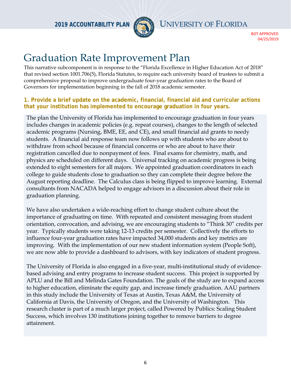

BOT APPROVED 04/25/2019

# Graduation Rate Improvement Plan

This narrative subcomponent is in response to the "Florida Excellence in Higher Education Act of 2018" that revised section 1001.706(5), Florida Statutes, to require each university board of trustees to submit a comprehensive proposal to improve undergraduate four-year graduation rates to the Board of Governors for implementation beginning in the fall of 2018 academic semester.

#### **1. Provide a brief update on the academic, financial, financial aid and curricular actions that your institution has implemented to encourage graduation in four years.**

The plan the University of Florida has implemented to encourage graduation in four years includes changes in academic policies (e.g. repeat courses), changes to the length of selected academic programs (Nursing, BME, EE, and CE), and small financial aid grants to needy students. A financial aid response team now follows up with students who are about to withdraw from school because of financial concerns or who are about to have their registration cancelled due to nonpayment of fees. Final exams for chemistry, math, and physics are scheduled on different days. Universal tracking on academic progress is being extended to eight semesters for all majors. We appointed graduation coordinators in each college to guide students close to graduation so they can complete their degree before the August reporting deadline. The Calculus class is being flipped to improve learning. External consultants from NACADA helped to engage advisors in a discussion about their role in graduation planning.

We have also undertaken a wide-reaching effort to change student culture about the importance of graduating on time. With repeated and consistent messaging from student orientation, convocation, and advising, we are encouraging students to "Think 30" credits per year. Typically students were taking 12-13 credits per semester. Collectively the efforts to influence four-year graduation rates have impacted 34,000 students and key metrics are improving. With the implementation of our new student information system (People Soft), we are now able to provide a dashboard to advisors, with key indicators of student progress.

The University of Florida is also engaged in a five-year, multi-institutional study of evidencebased advising and entry programs to increase student success. This project is supported by APLU and the Bill and Melinda Gates Foundation. The goals of the study are to expand access to higher education, eliminate the equity gap, and increase timely graduation. AAU partners in this study include the University of Texas at Austin, Texas A&M, the University of California at Davis, the University of Oregon, and the University of Washington. This research cluster is part of a much larger project, called Powered by Publics: Scaling Student Success, which involves 130 institutions joining together to remove barriers to degree attainment.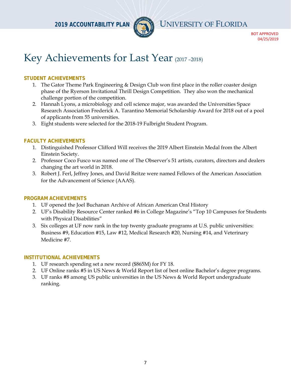

BOT APPROVED 04/25/2019

# Key Achievements for Last Year (2017 -2018)

#### **STUDENT ACHIEVEMENTS**

- 1. The Gator Theme Park Engineering & Design Club won first place in the roller coaster design phase of the Ryerson Invitational Thrill Design Competition. They also won the mechanical challenge portion of the competition.
- 2. Hannah Lyons, a microbiology and cell science major, was awarded the Universities Space Research Association Frederick A. Tarantino Memorial Scholarship Award for 2018 out of a pool of applicants from 55 universities.
- 3. Eight students were selected for the 2018-19 Fulbright Student Program.

#### **FACULTY ACHIEVEMENTS**

- 1. Distinguished Professor Clifford Will receives the 2019 Albert Einstein Medal from the Albert Einstein Society.
- 2. Professor Coco Fusco was named one of The Observer's 51 artists, curators, directors and dealers changing the art world in 2018.
- 3. Robert J. Ferl, Jeffrey Jones, and David Reitze were named Fellows of the American Association for the Advancement of Science (AAAS).

#### **PROGRAM ACHIEVEMENTS**

- 1. UF opened the Joel Buchanan Archive of African American Oral History
- 2. UF's Disability Resource Center ranked #6 in College Magazine's "Top 10 Campuses for Students with Physical Disabilities"
- 3. Six colleges at UF now rank in the top twenty graduate programs at U.S. public universities: Business #9, Education #15, Law #12, Medical Research #20, Nursing #14, and Veterinary Medicine #7.

#### **INSTITUTIONAL ACHIEVEMENTS**

- 1. UF research spending set a new record (\$865M) for FY 18.
- 2. UF Online ranks #5 in US News & World Report list of best online Bachelor's degree programs.
- 3. UF ranks #8 among US public universities in the US News & World Report undergraduate ranking.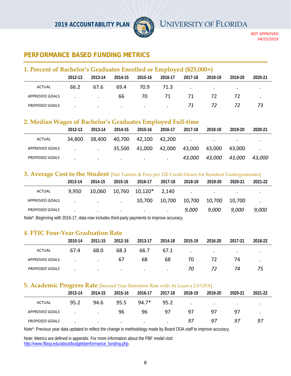

BOT APPROVED 04/25/2019

# **PERFORMANCE BASED FUNDING METRICS**

| 1. Percent of Bachelor's Graduates Enrolled or Employed (\$25,000+) |         |         |         |                 |         |         |                          |         |         |  |  |
|---------------------------------------------------------------------|---------|---------|---------|-----------------|---------|---------|--------------------------|---------|---------|--|--|
|                                                                     | 2012-13 | 2013-14 | 2014-15 | 2015-16         | 2016-17 | 2017-18 | 2018-19                  | 2019-20 | 2020-21 |  |  |
| ACTUAL                                                              | 66.2    | 67.6    | 69.4    | 70.9            | 71.3    |         | <b>Contract Contract</b> | $\cdot$ |         |  |  |
| APPROVED GOALS                                                      |         |         | 66.     | 70.             | 71      | 71      | 72                       | 72.     |         |  |  |
| <b>PROPOSED GOALS</b>                                               |         | $\cdot$ | $\cdot$ | $\cdot$ $\cdot$ |         | 71      | 72                       | 72.     | 73.     |  |  |

#### **2. Median Wages of Bachelor's Graduates Employed Full-time**

|                       | 2012-13 | 2013-14 | 2014-15   | 2015-16 | 2016-17 | 2017-18 | 2018-19                           | 2019-20   | 2020-21       |
|-----------------------|---------|---------|-----------|---------|---------|---------|-----------------------------------|-----------|---------------|
| ACTUAL                | 34,800  | 38,400  | 40,700    | 42,100  | 42.200  | $\cdot$ | <b>Contract Contract Contract</b> | $\bullet$ |               |
| APPROVED GOALS        |         | $\cdot$ | 35.500    | 41,000  | 42,000  | 43,000  | 43.000                            | 43.000    |               |
| <b>PROPOSED GOALS</b> |         | $\cdot$ | $\bullet$ | $\cdot$ | $\cdot$ | 43,000  | 43,000                            | 43,000    | <i>43.000</i> |

#### **3. Average Cost to the Student** [Net Tuition & Fees per 120 Credit Hours for Resident Undergraduates]

|                       | 2013-14 | 2014-15       | 2015-16   | 2016-17   | 2017-18 | 2018-19 | 2019-20 | 2020-21 | 2021-22 |
|-----------------------|---------|---------------|-----------|-----------|---------|---------|---------|---------|---------|
| <b>ACTUAL</b>         | 9,950   | 10,060        | 10,760    | $10,120*$ | 2,140   | $\cdot$ | $\sim$  | $\cdot$ |         |
| APPROVED GOALS        |         | $\sim$ $\sim$ | $\cdot$   | 10,700    | 10,700  | 10,700  | 10,700  | 10,700  |         |
| <b>PROPOSED GOALS</b> |         | $\bullet$     | $\bullet$ | $\bullet$ | $\cdot$ | 9,000   | 9,000   | 9,000   | 9,000   |

Note\*: Beginning with 2016-17, data now includes third-party payments to improve accuracy.

#### **4. FTIC Four-Year Graduation Rate**

|                       | 2010-14 | 2011-15       | 2012-16 | 2013-17   | 2014-18 | 2015-19 | 2016-20   | 2017-21 | 2018-22 |
|-----------------------|---------|---------------|---------|-----------|---------|---------|-----------|---------|---------|
| <b>ACTUAL</b>         | 67.4    | 68.0          | 68.3    | 66.7      | 67.1    | $\cdot$ | $\bullet$ | $\cdot$ |         |
| APPROVED GOALS        |         | $\sim$ $\sim$ | 67      | 68        | 68      | 70      | 72        | 74      |         |
| <b>PROPOSED GOALS</b> |         | $\cdot$       | $\cdot$ | $\bullet$ | $\cdot$ | 70      | 72        | 74      | 75      |

#### **5. Academic Progress Rate** [Second Year Retention Rate with At Least a 2.0 GPA]

|                       | 2013-14 | 2014-15   | 2015-16 | 2016-17 | 2017-18   | 2018-19   | 2019-20 | 2020-21   | 2021-22 |
|-----------------------|---------|-----------|---------|---------|-----------|-----------|---------|-----------|---------|
| <b>ACTUAL</b>         | 95.2    | 94.6      | 95.5    | 94.7*   | 95.2      | $\bullet$ | $\cdot$ | $\bullet$ | $\cdot$ |
| APPROVED GOALS        |         | $\bullet$ | 96      | 96      | 97        | 97        | 97      | 97        |         |
| <b>PROPOSED GOALS</b> |         | $\bullet$ | $\cdot$ | $\cdot$ | $\bullet$ | 97        | 97      | 97        | 97      |

Note\*: Previous year data updated to reflect the change in methodology made by Board ODA staff to improve accuracy.

Note: Metrics are defined in appendix. For more information about the PBF model visit: http://www.flbog.edu/about/budget/performance\_funding.php.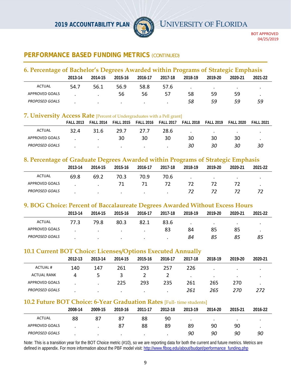

BOT APPROVED 04/25/2019

# **PERFORMANCE BASED FUNDING METRICS (CONTINUED)**

| 6. Percentage of Bachelor's Degrees Awarded within Programs of Strategic Emphasis |         |         |         |         |         |           |         |         |         |  |  |
|-----------------------------------------------------------------------------------|---------|---------|---------|---------|---------|-----------|---------|---------|---------|--|--|
|                                                                                   | 2013-14 | 2014-15 | 2015-16 | 2016-17 | 2017-18 | 2018-19   | 2019-20 | 2020-21 | 2021-22 |  |  |
| <b>ACTUAL</b>                                                                     | 54.7    | 56.1    | 56.9    | 58.8    | 57.6    | $\bullet$ | $\cdot$ | . .     |         |  |  |
| APPROVED GOALS                                                                    |         |         | 56      | 56      | 57      | 58        | 59      | 59      |         |  |  |
| <b>PROPOSED GOALS</b>                                                             |         | $\cdot$ |         | $\cdot$ |         | 58        | 59      | 59      | 59      |  |  |

#### **7. University Access Rate** [Percent of Undergraduates with a Pell grant]

|                       | <b>FALL 2013</b> | <b>FALL 2014</b> | <b>FALL 2015</b> | <b>FALL 2016</b> | <b>FALL 2017</b> | <b>FALL 2018</b> | <b>FALL 2019</b> | <b>FALL 2020</b> | <b>FALL 2021</b> |
|-----------------------|------------------|------------------|------------------|------------------|------------------|------------------|------------------|------------------|------------------|
| ACTUAL                | 32.4             | 31.6             | 29.7             | 27.7             | 28.6             | $\bullet$        | $\cdot$          | $\bullet$        |                  |
| APPROVED GOALS        |                  |                  | 30               | 30               | 30               | 30               | 30               | 30               |                  |
| <b>PROPOSED GOALS</b> |                  | $\bullet$        | $\bullet$        | $\cdot$          |                  | 30               | 30               | 30               | 30               |

#### **8. Percentage of Graduate Degrees Awarded within Programs of Strategic Emphasis**

|                       | 2013-14 | 2014-15   | 2015-16 | 2016-17 | 2017-18 | 2018-19 | 2019-20 | 2020-21   | 2021-22 |  |  |
|-----------------------|---------|-----------|---------|---------|---------|---------|---------|-----------|---------|--|--|
| <b>ACTUAL</b>         | 69.8    | 69.2      | 70.3    | 70.9    | 70.6    |         | $\cdot$ | $\bullet$ |         |  |  |
| APPROVED GOALS        |         |           | 71      |         | 72      |         |         |           |         |  |  |
| <b>PROPOSED GOALS</b> |         | $\bullet$ | $\cdot$ | $\cdot$ |         | 72      | 72      |           |         |  |  |

#### **9. BOG Choice: Percent of Baccalaureate Degrees Awarded Without Excess Hours**

|                       | 2013-14 | 2014-15   | 2015-16   | 2016-17   | 2017-18 | 2018-19   | 2019-20 | 2020-21   | 2021-22 |
|-----------------------|---------|-----------|-----------|-----------|---------|-----------|---------|-----------|---------|
| <b>ACTUAL</b>         | 77.3    | 79.8      | 80.3      | 82.1      | 83.6    | $\bullet$ | $\cdot$ | $\bullet$ |         |
| APPROVED GOALS        |         | $\bullet$ | $\bullet$ | $\bullet$ | 83      | 84        | 85      | 85        |         |
| <b>PROPOSED GOALS</b> |         | $\bullet$ | $\bullet$ | $\bullet$ |         | 84        | 85      | 85        | 85      |

#### **10.1 Current BOT Choice: Licenses/Options Executed Annually**

|                       | 2012-13 | 2013-14   | 2014-15   | 2015-16   | 2016-17 | 2017-18 | 2018-19   | 2019-20   | 2020-21   |
|-----------------------|---------|-----------|-----------|-----------|---------|---------|-----------|-----------|-----------|
| <b>ACTUAL#</b>        | 140     | 147       | 261       | 293       | 257     | 226     | $\bullet$ | $\cdot$   | $\bullet$ |
| <b>ACTUAL RANK</b>    | 4       |           | 3         |           |         | $\cdot$ | $\bullet$ | $\bullet$ |           |
| APPROVED GOALS        |         | ٠         | 225       | 293       | 235     | 261     | 265       | 270       |           |
| <b>PROPOSED GOALS</b> |         | $\bullet$ | $\bullet$ | $\bullet$ | $\cdot$ | 261     | 265       | 270       | 272       |

# **10.2 Future BOT Choice: 6-Year Graduation Rates** [Full- time students]

|                       | 2008-14 | 2009-15 | 2010-16 | 2011-17   | 2012-18 | 2013-19 | 2014-20 | 2015-21 | 2016-22 |
|-----------------------|---------|---------|---------|-----------|---------|---------|---------|---------|---------|
| <b>ACTUAL</b>         | 88      | 87      | 87      | 88        | 90      |         |         |         |         |
| APPROVED GOALS        |         |         | 87      | 88        | 89      | 89      | 90      | 90      |         |
| <b>PROPOSED GOALS</b> |         |         |         | $\bullet$ | $\cdot$ | 90      | 90      | 90      | 90      |

Note: This is a transition year for the BOT Choice metric (#10), so we are reporting data for both the current and future metrics. Metrics are defined in appendix. For more information about the PBF model visit: http://www.flbog.edu/about/budget/performance\_funding.php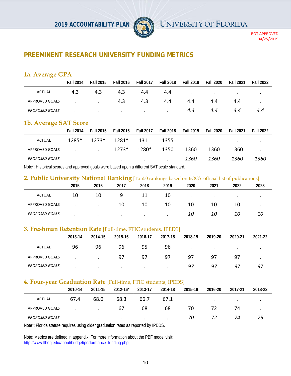

BOT APPROVED 04/25/2019

# **PREEMINENT RESEARCH UNIVERSITY FUNDING METRICS**

# **1a. Average GPA**

|                       | <b>Fall 2014</b> | <b>Fall 2015</b> | <b>Fall 2016</b> | <b>Fall 2017</b> | <b>Fall 2018</b> | <b>Fall 2019</b> | <b>Fall 2020</b> | <b>Fall 2021</b> | <b>Fall 2022</b> |
|-----------------------|------------------|------------------|------------------|------------------|------------------|------------------|------------------|------------------|------------------|
| <b>ACTUAL</b>         | 4.3              | 4.3              | 4.3              | 4.4              | 4.4              | $\bullet$        | $\bullet$        | $\bullet$        |                  |
| APPROVED GOALS        |                  |                  | 4.3              | 4.3              | 4.4              | 4.4              | 4.4              | 4.4              |                  |
| <b>PROPOSED GOALS</b> |                  | $\bullet$        | $\bullet$        | $\bullet$        | $\cdot$          | 4.4              | 4.4              | 4.4              | 4.4              |

#### **1b. Average SAT Score**

|                       | <b>Fall 2014</b> | <b>Fall 2015</b>         | <b>Fall 2016</b> | <b>Fall 2017</b>                                                                | Fall 2018 | <b>Fall 2019</b> | Fall 2020                                           | <b>Fall 2021</b> | <b>Fall 2022</b> |
|-----------------------|------------------|--------------------------|------------------|---------------------------------------------------------------------------------|-----------|------------------|-----------------------------------------------------|------------------|------------------|
| <b>ACTUAL</b>         | $1285*$          | $1273*$                  | 1281*            | 1311                                                                            | 1355      |                  | the contract of the contract of the contract of the |                  | ٠                |
| APPROVED GOALS        |                  |                          | $1273*$          | 1280*                                                                           | 1350      | 1360             | 1360                                                | 1360             | $\cdot$          |
| <b>PROPOSED GOALS</b> | $\cdot$          | <b>Contract Contract</b> |                  | the contract of the contract of the contract of the contract of the contract of |           | 1360             | 1360                                                | 1360             | 1360             |
|                       |                  |                          |                  |                                                                                 |           |                  |                                                     |                  |                  |

Note\*: Historical scores and approved goals were based upon a different SAT scale standard.

#### **2. Public University National Ranking** [Top50 rankings based on BOG's official list of publications]

|                       | $\overline{\phantom{a}}$ |           | $\sim$    | $\sim$  |         |           |      |           |      |
|-----------------------|--------------------------|-----------|-----------|---------|---------|-----------|------|-----------|------|
|                       | 2015                     | 2016      | 2017      | 2018    | 2019    | 2020      | 2021 | 2022      | 2023 |
| <b>ACTUAL</b>         | 10                       | 10        |           |         | 10      | $\bullet$ |      | $\bullet$ |      |
| <b>APPROVED GOALS</b> |                          | $\bullet$ | 10        | 10      | 10      | 10        | 10   | 10        |      |
| <b>PROPOSED GOALS</b> |                          | $\cdot$   | $\bullet$ | $\cdot$ | $\cdot$ | 10        | 10   | 10        | 10   |

#### **3. Freshman Retention Rate** [Full-time, FTIC students, IPEDS]

|                       | 2013-14 | 2014-15   | 2015-16   | 2016-17 | 2017-18 | 2018-19   | 2019-20   | 2020-21   | 2021-22   |
|-----------------------|---------|-----------|-----------|---------|---------|-----------|-----------|-----------|-----------|
| <b>ACTUAL</b>         | 96      | 96        | 96        | 95      | 96      | $\bullet$ | $\bullet$ | $\bullet$ | $\bullet$ |
| APPROVED GOALS        |         | $\cdot$   | 97        | 97      | 97      | 97        | 97        | 97        | $\bullet$ |
| <b>PROPOSED GOALS</b> | $\cdot$ | $\bullet$ | $\bullet$ | $\cdot$ | $\cdot$ | 97        | 97        | 97        | 97        |

#### **4. Four-year Graduation Rate** [Full-time, FTIC students, IPEDS]

| . .                   | 2010-14 | 2011-15   | $2012 - 16^*$ | 2013-17 | 2014-18 | 2015-19   | 2016-20 | 2017-21   | 2018-22 |
|-----------------------|---------|-----------|---------------|---------|---------|-----------|---------|-----------|---------|
| <b>ACTUAL</b>         | 67.4    | 68.0      | 68.3          | 66.7    | 67.1    | $\bullet$ | $\cdot$ | $\bullet$ |         |
| APPROVED GOALS        |         | $\bullet$ | 67            | 68      | 68      | 70        |         | 74        |         |
| <b>PROPOSED GOALS</b> |         | $\cdot$   | $\cdot$       | $\cdot$ | $\cdot$ | 70        | 72      | 74        | 75      |

Note\*: Florida statute requires using older graduation rates as reported by IPEDS.

Note: Metrics are defined in appendix. For more information about the PBF model visit: http://www.flbog.edu/about/budget/performance\_funding.php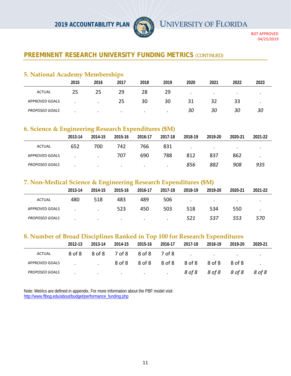

BOT APPROVED 04/25/2019

# **PREEMINENT RESEARCH UNIVERSITY FUNDING METRICS (CONTINUED)**

# **5. National Academy Memberships**

|                       | 2015 | 2016      | 2017      | 2018      | 2019 | 2020      | 2021      | 2022      | 2023 |
|-----------------------|------|-----------|-----------|-----------|------|-----------|-----------|-----------|------|
| <b>ACTUAL</b>         | 25   | 25        | 29        | 28        | 29   | $\bullet$ | $\bullet$ | $\bullet$ |      |
| APPROVED GOALS        |      |           | 25        | 30        | 30   | 31        | 32        | 33        |      |
| <b>PROPOSED GOALS</b> |      | $\bullet$ | $\bullet$ | $\bullet$ |      | 30        | 30        | 30        | 30   |

# **6. Science & Engineering Research Expenditures (\$M)**

|                       | 2013-14 | 2014-15 | 2015-16 | 2016-17 | 2017-18 | 2018-19   | 2019-20 | 2020-21   | 2021-22 |
|-----------------------|---------|---------|---------|---------|---------|-----------|---------|-----------|---------|
| <b>ACTUAL</b>         | 652     | 700     | 742     | 766     | 831     | $\bullet$ | $\cdot$ | $\bullet$ |         |
| APPROVED GOALS        |         | $\cdot$ | 707     | 690     | 788     | 812       | 837     | 862       |         |
| <b>PROPOSED GOALS</b> |         | $\cdot$ | $\cdot$ | $\cdot$ | $\cdot$ | 856       | 882     | 908       | 935     |

# **7. Non-Medical Science & Engineering Research Expenditures (\$M)**

|                       | 2013-14 | 2014-15 | 2015-16   | 2016-17   | 2017-18 | 2018-19   | 2019-20   | 2020-21   | 2021-22 |  |
|-----------------------|---------|---------|-----------|-----------|---------|-----------|-----------|-----------|---------|--|
| ACTUAL                | 480     | 518     | 483       | 489       | 506     | $\bullet$ | $\bullet$ | $\bullet$ |         |  |
| APPROVED GOALS        |         | $\cdot$ | 523       | 450       | 503     | 518       | 534       | 550       |         |  |
| <b>PROPOSED GOALS</b> |         | $\cdot$ | $\bullet$ | $\bullet$ | $\cdot$ | 521       | 537       | 553       | 570     |  |

#### **8. Number of Broad Disciplines Ranked in Top 100 for Research Expenditures**

|                | 2012-13 | 2013-14 | 2014-15 | 2015-16 | 2016-17                                                                                                        | 2017-18 | 2018-19 | 2019-20 | 2020-21 |
|----------------|---------|---------|---------|---------|----------------------------------------------------------------------------------------------------------------|---------|---------|---------|---------|
| ACTUAL         |         |         |         |         | 8 of 8 9 of 8 7 of 8 8 of 8 7 of 8 3 cm 3 cm 3 and 3 and 3 and 3 and 3 and 3 and 3 and 3 and 3 and 3 and 3 and |         |         |         |         |
| APPROVED GOALS |         |         |         |         | . 8 of 8 8 of 8 8 of 8 8 of 8 8 of 8 8 of 8 .                                                                  |         |         |         |         |
| PROPOSED GOALS |         |         |         |         | . 80f8 80f8 80f8 80f8                                                                                          |         |         |         |         |

Note: Metrics are defined in appendix. For more information about the PBF model visit: http://www.flbog.edu/about/budget/performance\_funding.php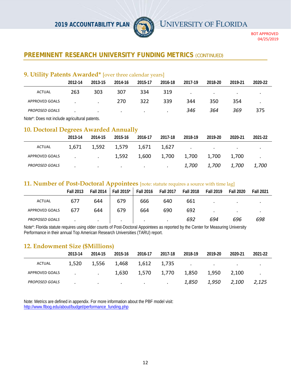

BOT APPROVED 04/25/2019

# **PREEMINENT RESEARCH UNIVERSITY FUNDING METRICS (CONTINUED)**

#### **9. Utility Patents Awarded\*** [over three calendar years]

|                       | 2012-14 | 2013-15   | 2014-16 | 2015-17   | 2016-18 | 2017-19 | 2018-20       | 2019-21         | 2020-22   |
|-----------------------|---------|-----------|---------|-----------|---------|---------|---------------|-----------------|-----------|
| <b>ACTUAL</b>         | 263     | 303       | 307     | 334       | 319     | $\cdot$ | $\sim$ $\sim$ | $\cdot$ $\cdot$ | $\bullet$ |
| APPROVED GOALS        |         |           | 270     | 322       | 339     | 344     | 350           | 354             |           |
| <b>PROPOSED GOALS</b> |         | $\bullet$ | $\cdot$ | $\bullet$ | $\cdot$ | 346     | 364           | 369             | 375       |
|                       |         |           |         |           |         |         |               |                 |           |

Note\*: Does not include agricultural patents.

#### **10. Doctoral Degrees Awarded Annually**

|                       | 2013-14 | 2014-15                           | 2015-16                                               | 2016-17 | 2017-18                             | 2018-19 | 2019-20           | 2020-21 | 2021-22                 |
|-----------------------|---------|-----------------------------------|-------------------------------------------------------|---------|-------------------------------------|---------|-------------------|---------|-------------------------|
| ACTUAL                |         | 1,671 1,592                       | 1,579 1,671                                           |         |                                     |         |                   |         | $\cdot$                 |
| APPROVED GOALS        |         | the company's company's company's |                                                       |         | 1,592 1,600 1,700 1,700 1,700 1,700 |         |                   |         | $\sim 100$ km s $^{-1}$ |
| <b>PROPOSED GOALS</b> | $\cdot$ |                                   | the control of the control of the control of the con- |         |                                     |         | 1,700 1,700 1,700 |         | <i>1,700</i>            |

#### **11. Number of Post-Doctoral Appointees** [note: statute requires a source with time lag]

|                       | <b>Fall 2013</b> | <b>Fall 2014</b> | Fall 2015* | <b>Fall 2016</b> | <b>Fall 2017</b> | <b>Fall 2018</b> | <b>Fall 2019</b> | <b>Fall 2020</b> | <b>Fall 2021</b> |
|-----------------------|------------------|------------------|------------|------------------|------------------|------------------|------------------|------------------|------------------|
| ACTUAL                | 677              | 644              | 679        | 666              | 640              | 661              | ٠                |                  |                  |
| <b>APPROVED GOALS</b> | 677              | 644              | 679        | 664              | 690              | 692              | $\bullet$        | $\cdot$          | ٠                |
| <b>PROPOSED GOALS</b> |                  | $\cdot$          | $\bullet$  | $\bullet$        | $\bullet$        | 692              | 694              | 696              | 698              |

Note\*: Florida statute requires using older counts of Post-Doctoral Appointees as reported by the Center for Measuring University Performance in their annual Top American Research Universities (TARU) report.

#### **12. Endowment Size (\$Millions)**

|                       | 2013-14 | 2014-15                       | 2015-16 | 2016-17                                | 2017-18 | 2018-19                           | 2019-20 | 2020-21 | 2021-22 |
|-----------------------|---------|-------------------------------|---------|----------------------------------------|---------|-----------------------------------|---------|---------|---------|
| <b>ACTUAL</b>         | 1,520   | 1,556                         | 1,468   | 1,612                                  | 1,735   | the company of the company of the |         |         |         |
| APPROVED GOALS        |         | the company of the company of | 1,630   | 1,570                                  | 1,770   | 1,850                             | 1,950   | 2,100   |         |
| <b>PROPOSED GOALS</b> | $\cdot$ | $\cdot$                       |         | the control of the control of the con- |         | 1,850                             | 1,950   | 2,100   | 2,125   |

Note: Metrics are defined in appendix. For more information about the PBF model visit: http://www.flbog.edu/about/budget/performance\_funding.php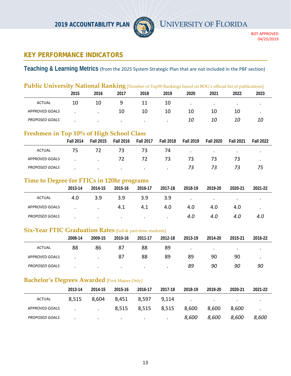

# **KEY PERFORMANCE INDICATORS**

**Teaching & Learning Metrics** (from the 2025 System Strategic Plan that are not included in the PBF section)

|                                                                   | Public University National Ranking [Number of Top50 Rankings based on BOG's official list of publications] |                  |                      |                      |                      |                      |                      |                      |                      |
|-------------------------------------------------------------------|------------------------------------------------------------------------------------------------------------|------------------|----------------------|----------------------|----------------------|----------------------|----------------------|----------------------|----------------------|
|                                                                   | 2015                                                                                                       | 2016             | 2017                 | 2018                 | 2019                 | 2020                 | 2021                 | 2022                 | 2023                 |
| <b>ACTUAL</b>                                                     | 10                                                                                                         | 10               | 9                    | 11                   | 10                   | $\blacksquare$       | $\ddot{\phantom{1}}$ | $\ddot{\phantom{1}}$ | $\bullet$            |
| APPROVED GOALS                                                    |                                                                                                            |                  | 10                   | 10                   | 10                   | 10                   | 10                   | 10                   | $\ddot{\phantom{0}}$ |
| PROPOSED GOALS                                                    |                                                                                                            |                  |                      |                      |                      | 10                   | 10                   | 10                   | 10                   |
| Freshmen in Top 10% of High School Class                          |                                                                                                            |                  |                      |                      |                      |                      |                      |                      |                      |
|                                                                   | <b>Fall 2014</b>                                                                                           | <b>Fall 2015</b> | <b>Fall 2016</b>     | <b>Fall 2017</b>     | <b>Fall 2018</b>     | <b>Fall 2019</b>     | <b>Fall 2020</b>     | <b>Fall 2021</b>     | <b>Fall 2022</b>     |
| <b>ACTUAL</b>                                                     | 75                                                                                                         | 72               | 73                   | 73                   | 74                   | $\ddot{\phantom{a}}$ | $\ddot{\phantom{a}}$ |                      |                      |
| APPROVED GOALS                                                    |                                                                                                            |                  | 72                   | 72                   | 73                   | 73                   | 73                   | 73                   | $\bullet$            |
| PROPOSED GOALS                                                    |                                                                                                            |                  | $\ddot{\phantom{a}}$ |                      |                      | 73                   | 73                   | 73                   | 75                   |
| Time to Degree for FTICs in 120hr programs                        |                                                                                                            |                  |                      |                      |                      |                      |                      |                      |                      |
|                                                                   | 2013-14                                                                                                    | 2014-15          | 2015-16              | 2016-17              | 2017-18              | 2018-19              | 2019-20              | 2020-21              | 2021-22              |
| <b>ACTUAL</b>                                                     | 4.0                                                                                                        | 3.9              | 3.9                  | 3.9                  | 3.9                  | $\bullet$            | $\ddot{\phantom{1}}$ | $\ddot{\phantom{1}}$ | $\bullet$            |
| APPROVED GOALS                                                    |                                                                                                            |                  | 4.1                  | 4.1                  | 4.0                  | 4.0                  | 4.0                  | 4.0                  | $\bullet$            |
| PROPOSED GOALS                                                    |                                                                                                            |                  | $\cdot$              | $\ddot{\phantom{0}}$ | $\ddot{\phantom{a}}$ | 4.0                  | 4.0                  | 4.0                  | 4.0                  |
| <b>Six-Year FTIC Graduation Rates</b> [full-& part-time students] |                                                                                                            |                  |                      |                      |                      |                      |                      |                      |                      |
|                                                                   | 2008-14                                                                                                    | 2009-15          | 2010-16              | 2011-17              | 2012-18              | 2013-19              | 2014-20              | 2015-21              | 2016-22              |
| <b>ACTUAL</b>                                                     | 88                                                                                                         | 86               | 87                   | 88                   | 89                   | $\ddot{\phantom{0}}$ | $\ddot{\phantom{a}}$ | $\bullet$            | $\ddot{\phantom{0}}$ |
| APPROVED GOALS                                                    |                                                                                                            |                  | 87                   | 88                   | 89                   | 89                   | 90                   | 90                   |                      |
| PROPOSED GOALS                                                    |                                                                                                            |                  |                      |                      |                      | 89                   | 90                   | 90                   | 90                   |
| <b>Bachelor's Degrees Awarded</b> [First Majors Only]             |                                                                                                            |                  |                      |                      |                      |                      |                      |                      |                      |
|                                                                   | 2013-14                                                                                                    | 2014-15          | 2015-16              | 2016-17              | 2017-18              | 2018-19              | 2019-20              | 2020-21              | 2021-22              |
| <b>ACTUAL</b>                                                     | 8,515                                                                                                      | 8,604            | 8,451                | 8,597                | 9,114                | $\cdot$              | $\ddot{\phantom{0}}$ | $\bullet$            |                      |
| <b>APPROVED GOALS</b>                                             |                                                                                                            |                  | 8,515                | 8,515                | 8,515                | 8,600                | 8,600                | 8,600                |                      |
| PROPOSED GOALS                                                    |                                                                                                            |                  |                      |                      |                      | 8,600                | 8,600                | 8,600                | 8,600                |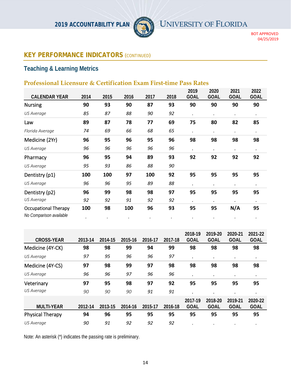

BOT APPROVED 04/25/2019

# **KEY PERFORMANCE INDICATORS** (*CONTINUED*)

# **Teaching & Learning Metrics**

# **Professional Licensure & Certification Exam First-time Pass Rates**

|                                                        |      |      |      |      |      | 2019        | 2020        | 2021        | 2022            |
|--------------------------------------------------------|------|------|------|------|------|-------------|-------------|-------------|-----------------|
| <b>CALENDAR YEAR</b>                                   | 2014 | 2015 | 2016 | 2017 | 2018 | <b>GOAL</b> | <b>GOAL</b> | <b>GOAL</b> | <b>GOAL</b>     |
| <b>Nursing</b>                                         | 90   | 93   | 90   | 87   | 93   | 90          | 90          | 90          | 90              |
| US Average                                             | 85   | 87   | 88   | 90   | 92   | $\bullet$   | $\bullet$   | $\bullet$   | $\bullet$       |
| Law                                                    | 89   | 87   | 78   | 77   | 69   | 75          | 80          | 82          | 85              |
| Florida Average                                        | 74   | 69   | 66   | 68   | 65   | $\bullet$   | $\bullet$   | $\cdot$     | $\bullet$       |
| Medicine (2Yr)                                         | 96   | 95   | 96   | 95   | 96   | 98          | 98          | 98          | 98              |
| US Average                                             | 96   | 96   | 96   | 96   | 96   | $\bullet$   | $\bullet$   | $\bullet$   | $\bullet$       |
| Pharmacy                                               | 96   | 95   | 94   | 89   | 93   | 92          | 92          | 92          | 92              |
| <b>US Average</b>                                      | 95   | 93   | 86   | 88   | 90   |             |             |             |                 |
| Dentistry (p1)                                         | 100  | 100  | 97   | 100  | 92   | 95          | 95          | 95          | 95              |
| US Average                                             | 96   | 96   | 95   | 89   | 88   | $\bullet$   | ٠           |             | $\bullet$       |
| Dentistry (p2)                                         | 96   | 99   | 98   | 98   | 97   | 95          | 95          | 95          | 95              |
| US Average                                             | 92   | 92   | 91   | 92   | 92   | $\bullet$   | $\bullet$   |             | $\bullet$       |
| <b>Occupational Therapy</b><br>No Comparison available | 100  | 98   | 100  | 96   | 93   | 95          | 95          | N/A         | 95<br>$\bullet$ |
|                                                        |      |      |      |      |      |             |             |             |                 |

| <b>CROSS-YEAR</b>       | 2013-14 | 2014-15 | 2015-16 | 2016-17 | 2017-18 | 2018-19<br><b>GOAL</b> | 2019-20<br><b>GOAL</b> | 2020-21<br><b>GOAL</b> | 2021-22<br><b>GOAL</b> |
|-------------------------|---------|---------|---------|---------|---------|------------------------|------------------------|------------------------|------------------------|
| Medicine (4Y-CK)        | 98      | 98      | 99      | 94      | 99      | 98                     | 98                     | 98                     | 98                     |
| US Average              | 97      | 95      | 96      | 96      | 97      | $\cdot$                | $\bullet$              | ٠                      | $\bullet$              |
| Medicine (4Y-CS)        | 97      | 98      | 99      | 97      | 98      | 98                     | 98                     | 98                     | 98                     |
| US Average              | 96      | 96      | 97      | 96      | 96      | ٠                      | $\bullet$              | ٠                      | $\bullet$              |
| Veterinary              | 97      | 95      | 98      | 97      | 92      | 95                     | 95                     | 95                     | 95                     |
| US Average              | 90      | 90      | 90      | 91      | 91      |                        | ٠                      |                        | $\bullet$              |
| <b>MULTI-YEAR</b>       | 2012-14 | 2013-15 | 2014-16 | 2015-17 | 2016-18 | 2017-19<br><b>GOAL</b> | 2018-20<br><b>GOAL</b> | 2019-21<br><b>GOAL</b> | 2020-22<br><b>GOAL</b> |
| <b>Physical Therapy</b> | 94      | 96      | 95      | 95      | 95      | 95                     | 95                     | 95                     | 95                     |
| US Average              | 90      | 91      | 92      | 92      | 92      |                        |                        |                        | $\bullet$              |

Note: An asterisk (\*) indicates the passing rate is preliminary.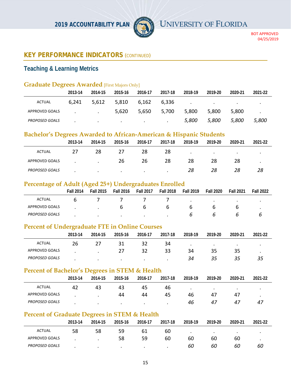

# **KEY PERFORMANCE INDICATORS** (*CONTINUED*)

# **Teaching & Learning Metrics**

# **Graduate Degrees Awarded** [First Majors Only]

|                       | 2013-14 | 2014-15 | 2015-16                           | 2016-17                  | 2017-18       | 2018-19       | 2019-20                           | 2020-21 | 2021-22 |
|-----------------------|---------|---------|-----------------------------------|--------------------------|---------------|---------------|-----------------------------------|---------|---------|
| ACTUAL                | 6,241   | 5,612   | 5,810                             | 6,162                    | 6.336         | $\sim$ $\sim$ | <b>Contract Contract Contract</b> |         |         |
| APPROVED GOALS        |         |         | 5,620                             | 5,650                    | 5,700         | 5,800         | 5,800                             | 5,800   |         |
| <b>PROPOSED GOALS</b> |         | $\cdot$ | <b>Contract Contract Contract</b> | <b>Contract Contract</b> | $\sim$ $\sim$ | 5,800         | 5,800                             | 5,800   | 5,800   |

# **Bachelor's Degrees Awarded to African-American & Hispanic Students**

|                       | _<br>2013-14 | 2014-15   | 2015-16   | 2016-17 | 2017-18 | 2018-19   | 2019-20 | 2020-21 | 2021-22 |
|-----------------------|--------------|-----------|-----------|---------|---------|-----------|---------|---------|---------|
| <b>ACTUAL</b>         | 27           | 28        | 27        | 28      | 28      | $\bullet$ | $\cdot$ | $\cdot$ | $\cdot$ |
| APPROVED GOALS        |              | $\bullet$ | 26        | 26      | 28      | 28        | 28      | 28      | ٠       |
| <b>PROPOSED GOALS</b> |              | $\cdot$   | $\bullet$ | $\cdot$ | $\cdot$ | 28        | 28      | 28      | 28      |

# **Percentage of Adult (Aged 25+) Undergraduates Enrolled**

|                       | <b>Fall 2014</b> | <b>Fall 2015</b> | <b>Fall 2016</b> | <b>Fall 2017</b> | <b>Fall 2018</b> | <b>Fall 2019</b> | <b>Fall 2020</b> | <b>Fall 2021</b> | <b>Fall 2022</b> |
|-----------------------|------------------|------------------|------------------|------------------|------------------|------------------|------------------|------------------|------------------|
| ACTUAL                |                  |                  |                  |                  |                  | $\bullet$        | $\bullet$        | $\bullet$        |                  |
| APPROVED GOALS        |                  |                  | n                | b                | b                | b                |                  |                  |                  |
| <b>PROPOSED GOALS</b> |                  | $\cdot$          |                  | $\cdot$          |                  | n                |                  |                  |                  |

# **Percent of Undergraduate FTE in Online Courses**

|                       | 2013-14 | 2014-15   | 2015-16 | 2016-17 | 2017-18 | 2018-19   | 2019-20 | 2020-21   | 2021-22 |
|-----------------------|---------|-----------|---------|---------|---------|-----------|---------|-----------|---------|
| <b>ACTUAL</b>         | 26      |           | 31      |         | 34      | $\bullet$ | $\cdot$ | $\bullet$ |         |
| <b>APPROVED GOALS</b> |         | $\bullet$ | 27      | 32      | 33      | 34        | 35      | 35        |         |
| <b>PROPOSED GOALS</b> |         | $\bullet$ | $\cdot$ | $\cdot$ |         | 34        | 35      | 35        | 35      |

# **Percent of Bachelor's Degrees in STEM & Health**

|                       | 2013-14 | 2014-15 | 2015-16   | 2016-17   | 2017-18 | 2018-19 | 2019-20   | 2020-21   | 2021-22 |
|-----------------------|---------|---------|-----------|-----------|---------|---------|-----------|-----------|---------|
| ACTUAL                | 42      | 43      | 43        | 45        | 46      |         | $\bullet$ | $\bullet$ |         |
| APPROVED GOALS        |         |         | 44        | 44        | 45      | 46      | 47        | 47        |         |
| <b>PROPOSED GOALS</b> |         |         | $\bullet$ | $\bullet$ |         | 46      | 47        | 47        | 47      |

# **Percent of Graduate Degrees in STEM & Health**

|                       | 2013-14 | 2014-15   | 2015-16 | 2016-17 | 2017-18 | 2018-19   | 2019-20   | 2020-21   | 2021-22 |
|-----------------------|---------|-----------|---------|---------|---------|-----------|-----------|-----------|---------|
| <b>ACTUAL</b>         | 58      | 58        | 59      | 61      | 60      | $\bullet$ | $\bullet$ | $\bullet$ |         |
| APPROVED GOALS        |         | $\bullet$ | 58      | 59      | 60      | 60        | 60        | 60        | $\cdot$ |
| <b>PROPOSED GOALS</b> |         | $\cdot$   | $\cdot$ | $\cdot$ | $\cdot$ | 60        | 60        | 60        | 60      |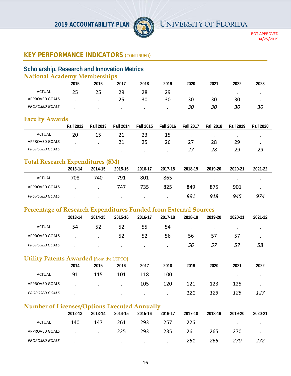

# **KEY PERFORMANCE INDICATORS** (*CONTINUED*)

#### **Scholarship, Research and Innovation Metrics National Academy Memberships**

|                       | THUIDIMI TRUMCHIV INCHIDCIDIIIDO |           |           |           |         |           |           |           |           |  |  |  |  |
|-----------------------|----------------------------------|-----------|-----------|-----------|---------|-----------|-----------|-----------|-----------|--|--|--|--|
|                       | 2015                             | 2016      | 2017      | 2018      | 2019    | 2020      | 2021      | 2022      | 2023      |  |  |  |  |
| <b>ACTUAL</b>         | 25                               | 25        | 29        | 28        | 29      | $\bullet$ | $\bullet$ | $\bullet$ | $\bullet$ |  |  |  |  |
| APPROVED GOALS        |                                  |           | 25        | 30        | 30      | 30        | 30        | 30        | ٠         |  |  |  |  |
| <b>PROPOSED GOALS</b> |                                  | $\bullet$ | $\bullet$ | $\bullet$ | $\cdot$ | 30        | 30        | 30        | 30        |  |  |  |  |

#### **Faculty Awards**

|                       | <b>Fall 2012</b> | <b>Fall 2013</b> | <b>Fall 2014</b> | <b>Fall 2015</b> | <b>Fall 2016</b> | <b>Fall 2017</b> | <b>Fall 2018</b> | <b>Fall 2019</b> | <b>Fall 2020</b> |
|-----------------------|------------------|------------------|------------------|------------------|------------------|------------------|------------------|------------------|------------------|
| ACTUAL                | 20               | 15               |                  |                  | 15               | $\bullet$        | $\cdot$          | $\bullet$        |                  |
| APPROVED GOALS        |                  |                  |                  |                  | 26               |                  | 28               | 29               |                  |
| <b>PROPOSED GOALS</b> |                  | $\bullet$        | $\bullet$        | $\cdot$          |                  |                  | 28               | 29               | 29               |

# **Total Research Expenditures (\$M)**

|                       | 2013-14 | 2014-15       | 2015-16 | 2016-17   | 2017-18 | 2018-19 | 2019-20 | 2020-21 | 2021-22 |
|-----------------------|---------|---------------|---------|-----------|---------|---------|---------|---------|---------|
| ACTUAL                | 708     | 740           | 791     | 801       | 865     | $\cdot$ | $\cdot$ | $\cdot$ |         |
| APPROVED GOALS        |         | $\sim$ $\sim$ | 747     | 735       | 825     | 849     | 875     | 901     | $\cdot$ |
| <b>PROPOSED GOALS</b> |         | $\bullet$     | $\cdot$ | $\bullet$ | $\cdot$ | 891     | 918     | 945     | 974     |

#### **Percentage of Research Expenditures Funded from External Sources**

| $\sim$                | 2013-14 | 2014-15 | 2015-16   | 2016-17   | 2017-18 | 2018-19 | 2019-20   | 2020-21   | 2021-22 |
|-----------------------|---------|---------|-----------|-----------|---------|---------|-----------|-----------|---------|
| <b>ACTUAL</b>         | 54      | 52      | 52        | 55        | 54      | $\cdot$ | $\bullet$ | $\bullet$ | $\cdot$ |
| APPROVED GOALS        |         | $\cdot$ | 52        | 52        | 56      | 56      | 57        | 57        |         |
| <b>PROPOSED GOALS</b> |         | $\cdot$ | $\bullet$ | $\bullet$ | $\cdot$ | 56      | 57        | 57        | 58      |

#### **Utility Patents Awarded** [from the USPTO]

|                       | 2014 | 2015    | 2016      | 2017    | 2018    | 2019      | 2020    | 2021    | 2022 |
|-----------------------|------|---------|-----------|---------|---------|-----------|---------|---------|------|
| <b>ACTUAL</b>         | 91   | 115     | 101       | 118     | 100     | $\bullet$ | $\cdot$ | $\cdot$ | ٠    |
| APPROVED GOALS        |      | $\cdot$ | $\bullet$ | 105     | 120     | 121       | 123     | 125     |      |
| <b>PROPOSED GOALS</b> |      | $\cdot$ | $\cdot$   | $\cdot$ | $\cdot$ | 121       | 123     | 125     |      |

# **Number of Licenses/Options Executed Annually**

|                       | 2012-13 | 2013-14 | 2014-15 | 2015-16 | 2016-17 | 2017-18 | 2018-19   | 2019-20 | 2020-21   |
|-----------------------|---------|---------|---------|---------|---------|---------|-----------|---------|-----------|
| <b>ACTUAL</b>         | 140     | 147     | 261     | 293     | 257     | 226     | $\bullet$ | $\cdot$ | $\bullet$ |
| APPROVED GOALS        |         |         | 225     | 293     | 235     | 261     | 265       | 270     |           |
| <b>PROPOSED GOALS</b> |         | $\cdot$ | $\cdot$ | $\cdot$ | $\cdot$ | 261     | 265       | 270     | 272       |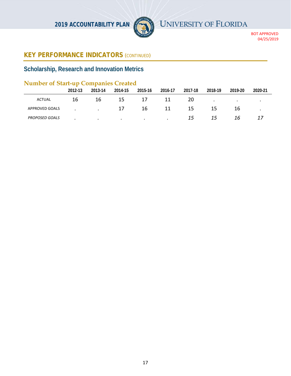

# **KEY PERFORMANCE INDICATORS** (*CONTINUED*)

# **Scholarship, Research and Innovation Metrics**

# **Number of Start-up Companies Created**

|                       | 2012-13 | --<br>2013-14 | 2014-15   | 2015-16   | 2016-17   | 2017-18 | 2018-19   | 2019-20 | 2020-21 |
|-----------------------|---------|---------------|-----------|-----------|-----------|---------|-----------|---------|---------|
| <b>ACTUAL</b>         | 16      | 16            | 15        | 17        |           | 20      | $\bullet$ |         |         |
| <b>APPROVED GOALS</b> |         | $\cdot$       | 17        | 16        | 11        | 15      |           | 16      |         |
| <b>PROPOSED GOALS</b> |         | $\bullet$     | $\bullet$ | $\bullet$ | $\bullet$ | 15      | 15        | 16      |         |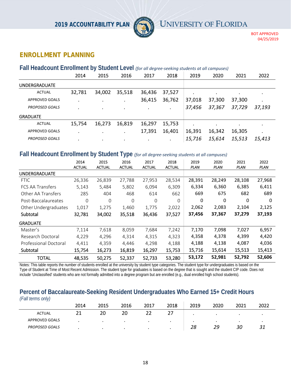

BOT APPROVED 04/25/2019

# **ENROLLMENT PLANNING**

#### **Fall Headcount Enrollment by Student Level** *(for all degree‐seeking students at all campuses)*

|                       | 2014   | 2015   | 2016      | 2017      | 2018    | 2019      | 2020   | 2021   | 2022      |
|-----------------------|--------|--------|-----------|-----------|---------|-----------|--------|--------|-----------|
| <b>UNDERGRADUATE</b>  |        |        |           |           |         |           |        |        |           |
| <b>ACTUAL</b>         | 32,781 | 34,002 | 35,518    | 36,436    | 37,527  |           | ٠      | ٠      | $\bullet$ |
| <b>APPROVED GOALS</b> | ٠      |        | $\cdot$   | 36,415    | 36,762  | 37,018    | 37,300 | 37,300 | $\bullet$ |
| <b>PROPOSED GOALS</b> |        | ٠      | $\bullet$ | ٠         | ٠       | 37,456    | 37,367 | 37,729 | 37,193    |
| <b>GRADUATE</b>       |        |        |           |           |         |           |        |        |           |
| <b>ACTUAL</b>         | 15,754 | 16,273 | 16,819    | 16,297    | 15,753  | $\bullet$ | ٠      | ٠      | $\cdot$   |
| <b>APPROVED GOALS</b> | ٠      |        |           | 17,391    | 16,401  | 16,391    | 16,342 | 16,305 |           |
| <b>PROPOSED GOALS</b> |        | ٠      | $\bullet$ | $\bullet$ | $\cdot$ | 15,716    | 15,614 | 15,513 | 15,413    |
|                       |        |        |           |           |         |           |        |        |           |

#### **Fall Headcount Enrollment by Student Type** *(for all degree‐seeking students at all campuses)*

|                       | 2014<br><b>ACTUAL</b> | 2015<br><b>ACTUAL</b> | 2016<br><b>ACTUAL</b> | 2017<br><b>ACTUAL</b> | 2018<br><b>ACTUAL</b> | 2019<br>PLAN | 2020<br>PLAN | 2021<br><b>PLAN</b> | 2022<br><b>PLAN</b> |
|-----------------------|-----------------------|-----------------------|-----------------------|-----------------------|-----------------------|--------------|--------------|---------------------|---------------------|
| <b>UNDERGRADUATE</b>  |                       |                       |                       |                       |                       |              |              |                     |                     |
| <b>FTIC</b>           | 26,336                | 26,839                | 27,788                | 27,953                | 28,534                | 28,391       | 28,249       | 28,108              | 27,968              |
| FCS AA Transfers      | 5,143                 | 5,484                 | 5,802                 | 6,094                 | 6,309                 | 6,334        | 6,360        | 6,385               | 6,411               |
| Other AA Transfers    | 285                   | 404                   | 468                   | 614                   | 662                   | 669          | 675          | 682                 | 689                 |
| Post-Baccalaureates   | $\Omega$              | $\overline{0}$        | 0                     | $\Omega$              | $\Omega$              | 0            | $\Omega$     | $\Omega$            | $\Omega$            |
| Other Undergraduates  | 1,017                 | 1,275                 | 1,460                 | 1,775                 | 2,022                 | 2,062        | 2,083        | 2,104               | 2,125               |
| Subtotal              | 32,781                | 34,002                | 35,518                | 36,436                | 37,527                | 37,456       | 37,367       | 37,279              | 37,193              |
| <b>GRADUATE</b>       |                       |                       |                       |                       |                       |              |              |                     |                     |
| Master's              | 7,114                 | 7,618                 | 8,059                 | 7,684                 | 7,242                 | 7,170        | 7,098        | 7,027               | 6,957               |
| Research Doctoral     | 4,229                 | 4,296                 | 4,314                 | 4,315                 | 4,323                 | 4,358        | 4,378        | 4,399               | 4,420               |
| Professional Doctoral | 4,411                 | 4,359                 | 4,446                 | 4,298                 | 4,188                 | 4,188        | 4,138        | 4,087               | 4,036               |
| Subtotal              | 15,754                | 16,273                | 16,819                | 16,297                | 15,753                | 15,716       | 15,614       | 15,513              | 15,413              |
| <b>TOTAL</b>          | 48,535                | 50,275                | 52,337                | 52,733                | 53,280                | 53,172       | 52,981       | 52,792              | 52,606              |

Notes: This table reports the number of students enrolled at the university by student type categories. The student type for undergraduates is based on the Type of Student at Time of Most Recent Admission. The student type for graduates is based on the degree that is sought and the student CIP code. Does not include 'Unclassified' students who are not formally admitted into a degree program but are enrolled (e.g., dual enrolled high school students).

#### **Percent of Baccalaureate-Seeking Resident Undergraduates Who Earned 15+ Credit Hours**  *(Fall terms only)*

| $\mu$ an torn bonny   |      |         |      |      |           |      |      |           |      |
|-----------------------|------|---------|------|------|-----------|------|------|-----------|------|
|                       | 2014 | 2015    | 2016 | 2017 | 2018      | 2019 | 2020 | 2021      | 2022 |
| <b>ACTUAL</b>         |      | 20      | 20   | 22   |           |      |      |           |      |
| <b>APPROVED GOALS</b> |      | $\cdot$ |      |      | $\bullet$ | ٠    |      | $\bullet$ |      |
| <b>PROPOSED GOALS</b> |      |         |      |      |           | 28   | 29   | 30        |      |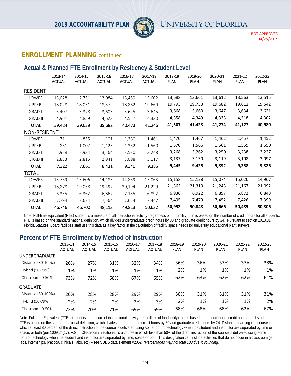

#### **ENROLLMENT PLANNING** *continued*

#### **Actual & Planned FTE Enrollment by Residency & Student Level**

|                     | 2013-14<br><b>ACTUAL</b> | 2014-15<br><b>ACTUAL</b> | 2015-16<br><b>ACTUAL</b> | 2016-17<br><b>ACTUAL</b> | 2017-18<br><b>ACTUAL</b> | 2018-19<br>PLAN | 2019-20<br><b>PLAN</b> | 2020-21<br><b>PLAN</b> | 2021-22<br><b>PLAN</b> | 2022-23<br><b>PLAN</b> |
|---------------------|--------------------------|--------------------------|--------------------------|--------------------------|--------------------------|-----------------|------------------------|------------------------|------------------------|------------------------|
| <b>RESIDENT</b>     |                          |                          |                          |                          |                          |                 |                        |                        |                        |                        |
| LOWER               | 13,028                   | 12,751                   | 13,084                   | 13,459                   | 13,602                   | 13,688          | 13,661                 | 13,612                 | 13,563                 | 13,515                 |
| <b>UPPER</b>        | 18,028                   | 18,051                   | 18,372                   | 18,862                   | 19,669                   | 19,793          | 19,753                 | 19,682                 | 19,612                 | 19,542                 |
| <b>GRAD I</b>       | 3,407                    | 3,378                    | 3,603                    | 3,625                    | 3,645                    | 3,668           | 3,660                  | 3,647                  | 3,634                  | 3,621                  |
| <b>GRAD II</b>      | 4,961                    | 4,859                    | 4,623                    | 4,527                    | 4,330                    | 4,358           | 4,349                  | 4,333                  | 4,318                  | 4,302                  |
| <b>TOTAL</b>        | 39,424                   | 39,039                   | 39,682                   | 40,473                   | 41,246                   | 41,507          | 41,423                 | 41,274                 | 41,127                 | 40,980                 |
| <b>NON-RESIDENT</b> |                          |                          |                          |                          |                          |                 |                        |                        |                        |                        |
| LOWER               | 711                      | 855                      | 1,101                    | 1,380                    | 1,461                    | 1,470           | 1,467                  | 1,462                  | 1,457                  | 1,452                  |
| <b>UPPER</b>        | 851                      | 1,007                    | 1,125                    | 1,332                    | 1,560                    | 1,570           | 1,566                  | 1,561                  | 1,555                  | 1,550                  |
| <b>GRAD I</b>       | 2,928                    | 2,984                    | 3,264                    | 3,530                    | 3,248                    | 3,268           | 3,262                  | 3,250                  | 3,238                  | 3,227                  |
| <b>GRAD II</b>      | 2,833                    | 2,815                    | 2,941                    | 3,098                    | 3,117                    | 3,137           | 3,130                  | 3,119                  | 3,108                  | 3,097                  |
| <b>TOTAL</b>        | 7,322                    | 7,661                    | 8,431                    | 9,340                    | 9,385                    | 9,445           | 9,425                  | 9,392                  | 9,358                  | 9,326                  |
| <b>TOTAL</b>        |                          |                          |                          |                          |                          |                 |                        |                        |                        |                        |
| LOWER               | 13,739                   | 13,606                   | 14,185                   | 14,839                   | 15,063                   | 15,158          | 15,128                 | 15,074                 | 15,020                 | 14,967                 |
| <b>UPPER</b>        | 18,878                   | 19,058                   | 19,497                   | 20,194                   | 21,229                   | 21,363          | 21,319                 | 21,243                 | 21,167                 | 21,092                 |
| <b>GRAD I</b>       | 6,335                    | 6,362                    | 6,867                    | 7,155                    | 6,892                    | 6,936           | 6,922                  | 6,897                  | 6,872                  | 6,848                  |
| <b>GRAD II</b>      | 7,794                    | 7,674                    | 7,564                    | 7,624                    | 7,447                    | 7,495           | 7,479                  | 7,452                  | 7,426                  | 7,399                  |
| <b>TOTAL</b>        | 46,746                   | 46,700                   | 48,113                   | 49,813                   | 50,632                   | 50,952          | 50,848                 | 50,666                 | 50,485                 | 50,306                 |

Note: Full-time Equivalent (FTE) student is a measure of all instructional activity (regardless of fundability) that is based on the number of credit hours for all students. FTE is based on the standard national definition, which divides undergraduate credit hours by 30 and graduate credit hours by 24. Pursuant to section 1013.31, Florida Statutes, Board facilities staff use this data as a key factor in the calculation of facility space needs for university educational plant surveys.

# **Percent of FTE Enrollment by Method of Instruction**

|                      | 2013-14<br><b>ACTUAL</b> | 2014-15<br><b>ACTUAL</b> | 2015-16<br><b>ACTUAL</b> | 2016-17<br><b>ACTUAL</b> | 2017-18<br><b>ACTUAL</b> | 2018-19<br><b>PLAN</b> | 2019-20<br><b>PLAN</b> | 2020-21<br><b>PLAN</b> | 2021-22<br><b>PLAN</b> | 2022-23<br><b>PLAN</b> |
|----------------------|--------------------------|--------------------------|--------------------------|--------------------------|--------------------------|------------------------|------------------------|------------------------|------------------------|------------------------|
| <b>UNDERGRADUATE</b> |                          |                          |                          |                          |                          |                        |                        |                        |                        |                        |
| Distance (80-100%)   | 26%                      | 27%                      | 31%                      | 32%                      | 34%                      | 36%                    | 36%                    | 37%                    | 37%                    | 38%                    |
| Hybrid (50-79%)      | 1%                       | 1%                       | 1%                       | 1%                       | 1%                       | 2%                     | 1%                     | 1%                     | 1%                     | 1%                     |
| Classroom (0-50%)    | 73%                      | 72%                      | 68%                      | 67%                      | 65%                      | 62%                    | 63%                    | 62%                    | 62%                    | 61%                    |
| <b>GRADUATE</b>      |                          |                          |                          |                          |                          |                        |                        |                        |                        |                        |
| Distance (80-100%)   | 26%                      | 28%                      | 28%                      | 29%                      | 29%                      | 30%                    | 31%                    | 31%                    | 31%                    | 31%                    |
| Hybrid (50-79%)      | 2%                       | 2%                       | 2%                       | 2%                       | 3%                       | 2%                     | 1%                     | 1%                     | 1%                     | 2%                     |
| Classroom (0-50%)    | 72%                      | 70%                      | 71%                      | 69%                      | 69%                      | 68%                    | 68%                    | 68%                    | 62%                    | 67%                    |

Note: Full-time Equivalent (FTE) student is a measure of instructional activity (regardless of fundability) that is based on the number of credit hours for all students. FTE is based on the standard national definition, which divides undergraduate credit hours by 30 and graduate credit hours by 24. Distance Learning is a course in which at least 80 percent of the direct instruction of the course is delivered using some form of technology when the student and instructor are separated by time or space, or both (per 1009.24(17), F.S.). Classroom/Traditional, is a course in which less than 50% of the direct instruction of the course is delivered using some form of technology when the student and instructor are separated by time, space or both. This designation can include activities that do not occur in a classroom (ie, labs, internships, practica, clinicals, labs, etc) – see SUDS data element #2052. *\*Percentages may not total 100 due to rounding*.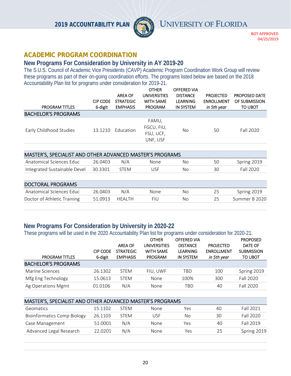

BOT APPROVED 04/25/2019

#### **ACADEMIC PROGRAM COORDINATION**

#### **New Programs For Consideration by University in AY 2019-20**

The S.U.S. Council of Academic Vice Presidents (CAVP) Academic Program Coordination Work Group will review these programs as part of their on-going coordination efforts. The programs listed below are based on the 2018 Accountability Plan list for programs under consideration for 2019-21.

|                            |                 |                  | <b>OTHER</b>        | <b>OFFERED VIA</b> |                   |                      |
|----------------------------|-----------------|------------------|---------------------|--------------------|-------------------|----------------------|
|                            |                 | <b>AREA OF</b>   | <b>UNIVERSITIES</b> | <b>DISTANCE</b>    | <b>PROJECTED</b>  | <b>PROPOSED DATE</b> |
|                            | <b>CIP CODE</b> | <b>STRATEGIC</b> | <b>WITH SAME</b>    | <b>LEARNING</b>    | <b>ENROLLMENT</b> | OF SUBMISSION        |
| <b>PROGRAM TITLES</b>      | 6-digit         | <b>EMPHASIS</b>  | <b>PROGRAM</b>      | <b>IN SYSTEM</b>   | in 5th year       | TO UBOT              |
| <b>BACHELOR'S PROGRAMS</b> |                 |                  |                     |                    |                   |                      |
|                            |                 |                  | FAMU,               |                    |                   |                      |
| Early Childhood Studies    | 13.1210         | Education        | FGCU, FIU,          | No                 | 50                | Fall 2020            |
|                            |                 |                  | FSU, UCF,           |                    |                   |                      |
|                            |                 |                  | UNF, USF            |                    |                   |                      |
|                            |                 |                  |                     |                    |                   |                      |

| MASTER'S, SPECIALIST AND OTHER ADVANCED MASTER'S PROGRAMS |         |       |      |     |    |             |  |  |  |  |
|-----------------------------------------------------------|---------|-------|------|-----|----|-------------|--|--|--|--|
| Anatomical Sciences Educ                                  | 26.0403 | N/A   | None | No. | 50 | Spring 2019 |  |  |  |  |
| Integrated Sustainable Devel 30.3301                      |         | -STFM | JSF  | No. | 30 | Fall 2020   |  |  |  |  |
|                                                           |         |       |      |     |    |             |  |  |  |  |

| <b>DOCTORAL PROGRAMS</b>    |         |        |      |     |     |               |  |  |  |  |  |
|-----------------------------|---------|--------|------|-----|-----|---------------|--|--|--|--|--|
| Anatomical Sciences Educ    | 26.0403 | N/A    | None | No. | 25. | Spring 2019   |  |  |  |  |  |
| Doctor of Athletic Training | 51.0913 | HEALTH | FIU  | No. |     | Summer B 2020 |  |  |  |  |  |

#### **New Programs For Consideration by University in 2020-22**

These programs will be used in the 2020 Accountability Plan list for programs under consideration for 2020-21.

|                            |                 |                  | <b>OTHER</b>        | <b>OFFERED VIA</b> |                   | <b>PROPOSED</b>   |
|----------------------------|-----------------|------------------|---------------------|--------------------|-------------------|-------------------|
|                            |                 | <b>AREA OF</b>   | <b>UNIVERSITIES</b> | <b>DISTANCE</b>    | <b>PROJECTED</b>  | DATE OF           |
|                            | <b>CIP CODE</b> | <b>STRATEGIC</b> | <b>WITH SAME</b>    | <b>LEARNING</b>    | <b>ENROLLMENT</b> | <b>SUBMISSION</b> |
| <b>PROGRAM TITLES</b>      | 6-digit         | <b>EMPHASIS</b>  | <b>PROGRAM</b>      | <b>IN SYSTEM</b>   | in 5th year       | <b>TO UBOT</b>    |
| <b>BACHELOR'S PROGRAMS</b> |                 |                  |                     |                    |                   |                   |
| Marine Sciences            | 26.1302         | <b>STEM</b>      | FIU. UWF            | TBD                | 100               | Spring 2019       |
| Mfg Eng Technology         | 15.0613         | <b>STEM</b>      | None                | 100%               | 300               | Fall 2020         |
| Ag Operations Mgmt         | 01.0106         | N/A              | None                | TBD                | 40                | Fall 2020         |

| MASTER'S, SPECIALIST AND OTHER ADVANCED MASTER'S PROGRAMS |         |             |      |     |    |             |  |
|-----------------------------------------------------------|---------|-------------|------|-----|----|-------------|--|
| Geomatics                                                 | 15.1102 | <b>STFM</b> | None | Yes | 40 | Fall 2021   |  |
| <b>Bioinformatics Comp Biology</b>                        | 26.1103 | STEM        | USE  | No  | 30 | Fall 2020   |  |
| Case Management                                           | 51.0001 | N/A         | None | Yes | 40 | Fall 2019   |  |
| Advanced Legal Research                                   | 22.0201 | N/A         | None | Yes | 25 | Spring 2019 |  |